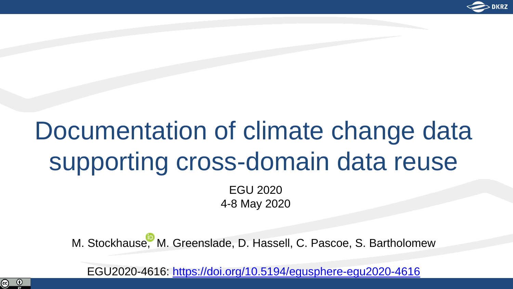

# Documentation of climate change data supporting cross-domain data reuse

EGU 2020 4-8 May 2020

M. Stockhaus[e,](http://orcid.org/0000-0001-6636-4972) M. Greenslade, D. Hassell, C. Pascoe, S. Bartholomew

EGU2020-4616:<https://doi.org/10.5194/egusphere-egu2020-4616>

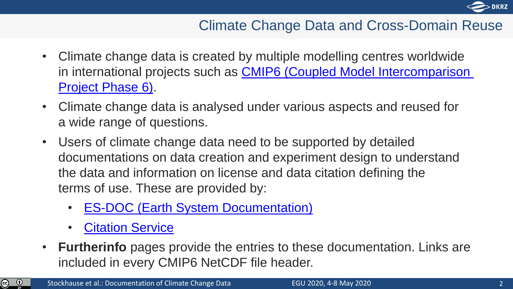

### Climate Change Data and Cross-Domain Reuse

- Climate change data is created by multiple modelling centres worldwide [in international projects such as CMIP6 \(Coupled Model Intercomparison](https://pcmdi.llnl.gov/CMIP6/) Project Phase 6).
- Climate change data is analysed under various aspects and reused for a wide range of questions.
- Users of climate change data need to be supported by detailed documentations on data creation and experiment design to understand the data and information on license and data citation defining the terms of use. These are provided by:
	- **[ES-DOC \(Earth System Documentation\)](https://es-doc.org/)**
	- **[Citation Service](http://cmip6cite.wdc-climate.de/)**
- **Furtherinfo** pages provide the entries to these documentation. Links are included in every CMIP6 NetCDF file header.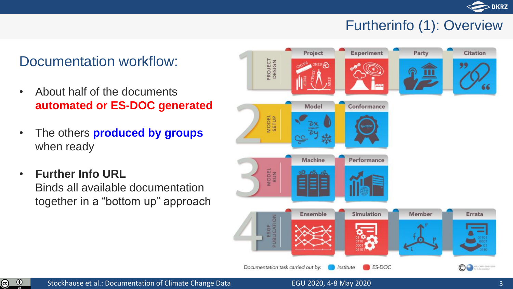

### Furtherinfo (1): Overview

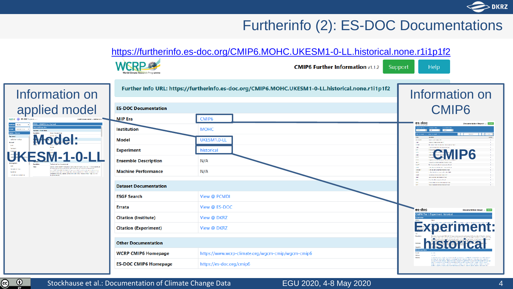

#### Furtherinfo (2): ES-DOC Documentations



Information on applied model **Model: EMMON Turbuletin Concert** 

 $\odot$ ര

Stockhause et al.: Documentation of Climate Change Data

#### EGU 2020, 4-8 May 2020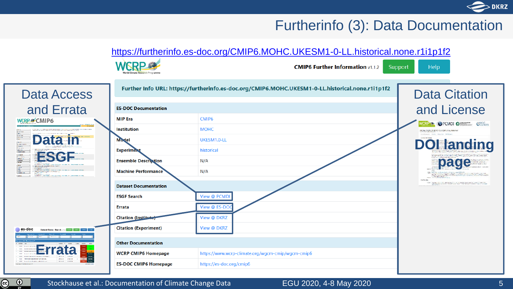#### **DKRZ**

#### Furtherinfo (3): Data Documentation



Stockhause et al.: Documentation of Climate Change Data

<u>ල)</u>

#### EGU 2020, 4-8 May 2020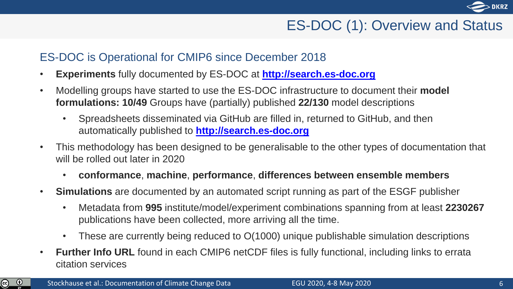

### ES-DOC (1): Overview and Status

#### ES-DOC is Operational for CMIP6 since December 2018

- **Experiments** fully documented by ES-DOC at **[http://search.es-doc.org](http://search.es-doc.org/)**
- Modelling groups have started to use the ES-DOC infrastructure to document their **model formulations: 10/49** Groups have (partially) published **22/130** model descriptions
	- Spreadsheets disseminated via GitHub are filled in, returned to GitHub, and then automatically published to **[http://search.es-doc.org](http://search.es-doc.org/)**
- This methodology has been designed to be generalisable to the other types of documentation that will be rolled out later in 2020
	- **conformance**, **machine**, **performance**, **differences between ensemble members**
- **Simulations** are documented by an automated script running as part of the ESGF publisher
	- Metadata from **995** institute/model/experiment combinations spanning from at least **2230267** publications have been collected, more arriving all the time.
	- These are currently being reduced to  $O(1000)$  unique publishable simulation descriptions
- **Further Info URL** found in each CMIP6 netCDF files is fully functional, including links to errata citation services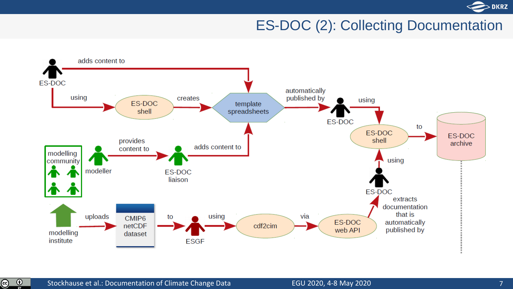

### ES-DOC (2): Collecting Documentation



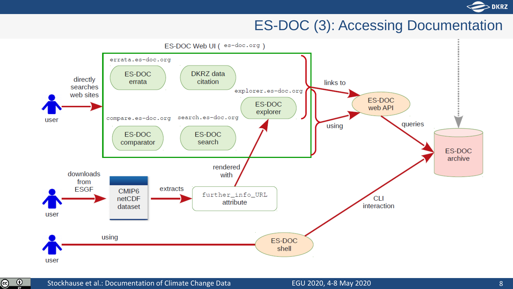

#### ES-DOC (3): Accessing Documentation



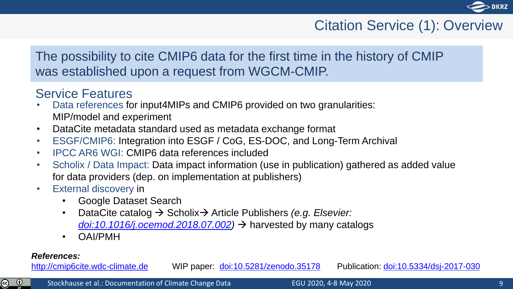

### Citation Service (1): Overview

#### The possibility to cite CMIP6 data for the first time in the history of CMIP was established upon a request from WGCM-CMIP.

#### Service Features

- Data references for input4MIPs and CMIP6 provided on two granularities: MIP/model and experiment
- DataCite metadata standard used as metadata exchange format
- ESGF/CMIP6: Integration into ESGF / CoG, ES-DOC, and Long-Term Archival
- IPCC AR6 WGI: CMIP6 data references included
- Scholix / Data Impact: Data impact information (use in publication) gathered as added value for data providers (dep. on implementation at publishers)
- External discovery in
	- Google Dataset Search
	- DataCite catalog → Scholix → Article Publishers *(e.g. Elsevier: [doi:10.1016/j.ocemod.2018.07.002\)](https://doi.org/10.1016/j.ocemod.2018.07.002)* → harvested by many catalogs
	- OAI/PMH

#### *References:*

 $\odot$ ල)

[http://cmip6cite.wdc-climate.de](http://cmip6cite.wdc-climate.de/) WIP paper: [doi:10.5281/zenodo.35178](https://doi.org/10.5281/zenodo.35178) Publication: [doi:10.5334/dsj-2017-030](https://doi.org/10.5334/dsj-2017-030)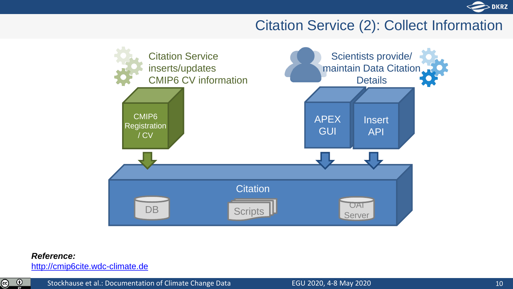

### Citation Service (2): Collect Information



#### *Reference:*

[http://cmip6cite.wdc-climate.de](http://cmip6cite.wdc-climate.de/)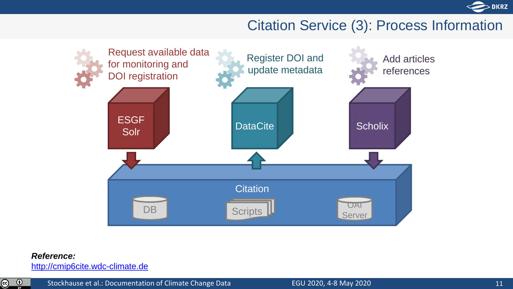

#### Citation Service (3): Process Information



#### *Reference:*

[http://cmip6cite.wdc-climate.de](http://cmip6cite.wdc-climate.de/)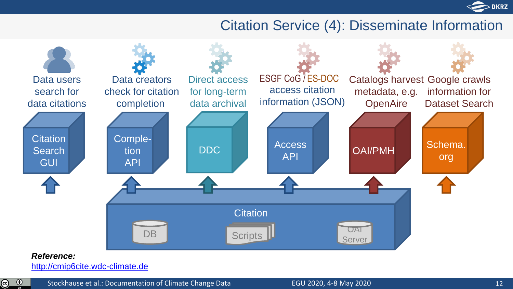

#### Citation Service (4): Disseminate Information



#### *Reference:*

[http://cmip6cite.wdc-climate.de](http://cmip6cite.wdc-climate.de/)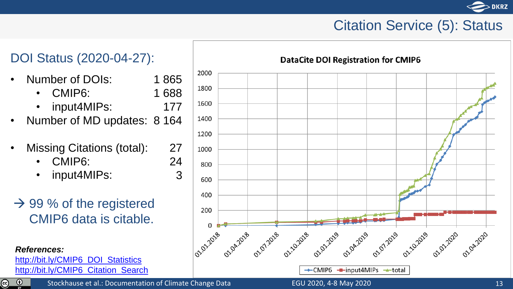### Citation Service (5): Status

### DOI Status (2020-04-27):

- Number of DOIs: 1 865
	- CMIP6: 1 688

177

27 24 3

- input4MIPs:
- Number of MD updates: 8 164
- Missing Citations (total):
	- CMIP6:
	- input4MIPs:
- $\rightarrow$  99 % of the registered CMIP6 data is citable.

*References:* [http://bit.ly/CMIP6\\_DOI\\_Statistics](http://bit.ly/CMIP6_DOI_Statistics) [http://bit.ly/CMIP6\\_Citation\\_Search](http://bit.ly/CMIP6_Citation_Search)

 $\odot$  $\circledcirc$ 



#### **DataCite DOI Registration for CMIP6**

Stockhause et al.: Documentation of Climate Change Data EGU 2020, 4-8 May 2020

**DKRZ**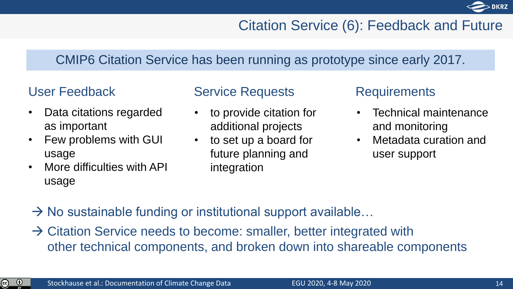

### Citation Service (6): Feedback and Future

#### CMIP6 Citation Service has been running as prototype since early 2017.

- Data citations regarded as important
- Few problems with GUI usage
- More difficulties with API usage

#### User Feedback Service Requests

- to provide citation for additional projects
- to set up a board for future planning and integration

#### Requirements

- Technical maintenance and monitoring
- Metadata curation and user support

- $\rightarrow$  No sustainable funding or institutional support available...
- $\rightarrow$  Citation Service needs to become: smaller, better integrated with other technical components, and broken down into shareable components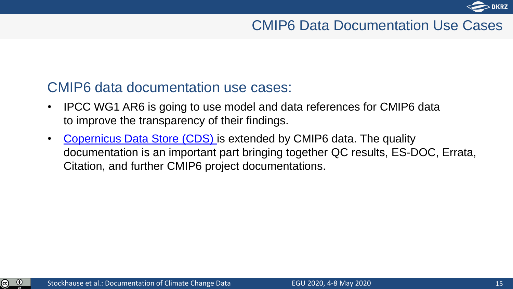

### CMIP6 Data Documentation Use Cases

#### CMIP6 data documentation use cases:

- IPCC WG1 AR6 is going to use model and data references for CMIP6 data to improve the transparency of their findings.
- [Copernicus Data Store \(CDS\)](https://cds.climate.copernicus.eu/) is extended by CMIP6 data. The quality documentation is an important part bringing together QC results, ES-DOC, Errata, Citation, and further CMIP6 project documentations.

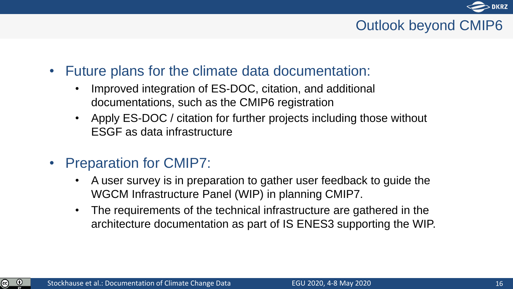

### Outlook beyond CMIP6

- Future plans for the climate data documentation:
	- Improved integration of ES-DOC, citation, and additional documentations, such as the CMIP6 registration
	- Apply ES-DOC / citation for further projects including those without ESGF as data infrastructure
- Preparation for CMIP7:
	- A user survey is in preparation to gather user feedback to guide the WGCM Infrastructure Panel (WIP) in planning CMIP7.
	- The requirements of the technical infrastructure are gathered in the architecture documentation as part of IS ENES3 supporting the WIP.